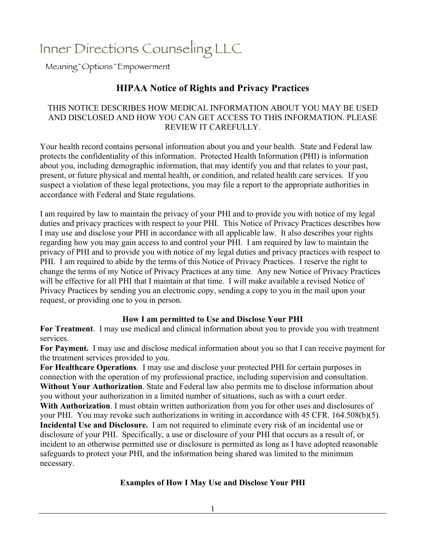# Inner Directions Counseling LLC

Meaning~Options~Empowerment

# **HIPAA Notice of Rights and Privacy Practices**

### THIS NOTICE DESCRIBES HOW MEDICAL INFORMATION ABOUT YOU MAY BE USED AND DISCLOSED AND HOW YOU CAN GET ACCESS TO THIS INFORMATION. PLEASE REVIEW IT CAREFULLY.

Your health record contains personal information about you and your health. State and Federal law protects the confidentiality of this information. Protected Health Information (PHI) is information about you, including demographic information, that may identify you and that relates to your past, present, or future physical and mental health, or condition, and related health care services. If you suspect a violation of these legal protections, you may file a report to the appropriate authorities in accordance with Federal and State regulations.

I am required by law to maintain the privacy of your PHI and to provide you with notice of my legal duties and privacy practices with respect to your PHI. This Notice of Privacy Practices describes how I may use and disclose your PHI in accordance with all applicable law. It also describes your rights regarding how you may gain access to and control your PHI. I am required by law to maintain the privacy of PHI and to provide you with notice of my legal duties and privacy practices with respect to PHI. I am required to abide by the terms of this Notice of Privacy Practices. I reserve the right to change the terms of my Notice of Privacy Practices at any time. Any new Notice of Privacy Practices will be effective for all PHI that I maintain at that time. I will make available a revised Notice of Privacy Practices by sending you an electronic copy, sending a copy to you in the mail upon your request, or providing one to you in person.

# **How I am permitted to Use and Disclose Your PHI**

**For Treatment**. I may use medical and clinical information about you to provide you with treatment services.

**For Payment.** I may use and disclose medical information about you so that I can receive payment for the treatment services provided to you.

**For Healthcare Operations**. I may use and disclose your protected PHI for certain purposes in connection with the operation of my professional practice, including supervision and consultation. **Without Your Authorization**. State and Federal law also permits me to disclose information about you without your authorization in a limited number of situations, such as with a court order.

**With Authorization**. I must obtain written authorization from you for other uses and disclosures of your PHI. You may revoke such authorizations in writing in accordance with 45 CFR. 164.508(b)(5). **Incidental Use and Disclosure.** I am not required to eliminate every risk of an incidental use or disclosure of your PHI. Specifically, a use or disclosure of your PHI that occurs as a result of, or incident to an otherwise permitted use or disclosure is permitted as long as I have adopted reasonable safeguards to protect your PHI, and the information being shared was limited to the minimum necessary.

# **Examples of How I May Use and Disclose Your PHI**

1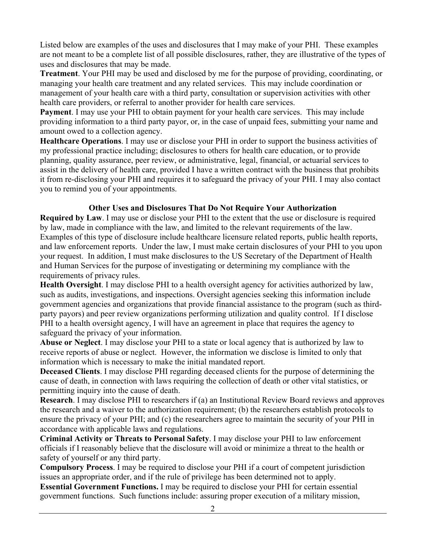Listed below are examples of the uses and disclosures that I may make of your PHI. These examples are not meant to be a complete list of all possible disclosures, rather, they are illustrative of the types of uses and disclosures that may be made.

**Treatment**. Your PHI may be used and disclosed by me for the purpose of providing, coordinating, or managing your health care treatment and any related services. This may include coordination or management of your health care with a third party, consultation or supervision activities with other health care providers, or referral to another provider for health care services.

**Payment**. I may use your PHI to obtain payment for your health care services. This may include providing information to a third party payor, or, in the case of unpaid fees, submitting your name and amount owed to a collection agency.

**Healthcare Operations**. I may use or disclose your PHI in order to support the business activities of my professional practice including; disclosures to others for health care education, or to provide planning, quality assurance, peer review, or administrative, legal, financial, or actuarial services to assist in the delivery of health care, provided I have a written contract with the business that prohibits it from re-disclosing your PHI and requires it to safeguard the privacy of your PHI. I may also contact you to remind you of your appointments.

## **Other Uses and Disclosures That Do Not Require Your Authorization**

**Required by Law**. I may use or disclose your PHI to the extent that the use or disclosure is required by law, made in compliance with the law, and limited to the relevant requirements of the law. Examples of this type of disclosure include healthcare licensure related reports, public health reports, and law enforcement reports. Under the law, I must make certain disclosures of your PHI to you upon your request. In addition, I must make disclosures to the US Secretary of the Department of Health and Human Services for the purpose of investigating or determining my compliance with the requirements of privacy rules.

**Health Oversight**. I may disclose PHI to a health oversight agency for activities authorized by law, such as audits, investigations, and inspections. Oversight agencies seeking this information include government agencies and organizations that provide financial assistance to the program (such as thirdparty payors) and peer review organizations performing utilization and quality control. If I disclose PHI to a health oversight agency, I will have an agreement in place that requires the agency to safeguard the privacy of your information.

**Abuse or Neglect**. I may disclose your PHI to a state or local agency that is authorized by law to receive reports of abuse or neglect. However, the information we disclose is limited to only that information which is necessary to make the initial mandated report.

**Deceased Clients**. I may disclose PHI regarding deceased clients for the purpose of determining the cause of death, in connection with laws requiring the collection of death or other vital statistics, or permitting inquiry into the cause of death.

**Research**. I may disclose PHI to researchers if (a) an Institutional Review Board reviews and approves the research and a waiver to the authorization requirement; (b) the researchers establish protocols to ensure the privacy of your PHI; and (c) the researchers agree to maintain the security of your PHI in accordance with applicable laws and regulations.

**Criminal Activity or Threats to Personal Safety**. I may disclose your PHI to law enforcement officials if I reasonably believe that the disclosure will avoid or minimize a threat to the health or safety of yourself or any third party.

**Compulsory Process**. I may be required to disclose your PHI if a court of competent jurisdiction issues an appropriate order, and if the rule of privilege has been determined not to apply.

**Essential Government Functions.** I may be required to disclose your PHI for certain essential government functions. Such functions include: assuring proper execution of a military mission,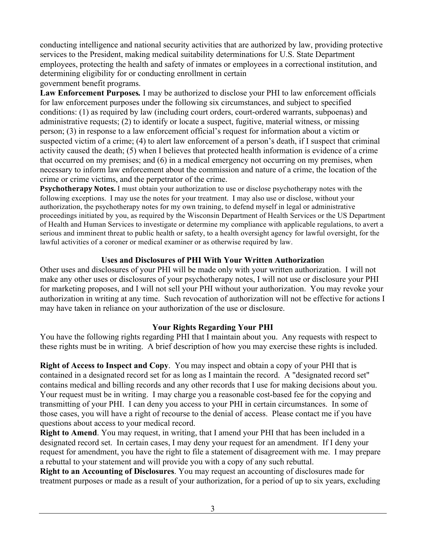conducting intelligence and national security activities that are authorized by law, providing protective services to the President, making medical suitability determinations for U.S. State Department employees, protecting the health and safety of inmates or employees in a correctional institution, and determining eligibility for or conducting enrollment in certain government benefit programs.

**Law Enforcement Purposes***.* I may be authorized to disclose your PHI to law enforcement officials for law enforcement purposes under the following six circumstances, and subject to specified conditions: (1) as required by law (including court orders, court-ordered warrants, subpoenas) and administrative requests; (2) to identify or locate a suspect, fugitive, material witness, or missing person; (3) in response to a law enforcement official's request for information about a victim or suspected victim of a crime; (4) to alert law enforcement of a person's death, if I suspect that criminal activity caused the death; (5) when I believes that protected health information is evidence of a crime that occurred on my premises; and (6) in a medical emergency not occurring on my premises, when necessary to inform law enforcement about the commission and nature of a crime, the location of the crime or crime victims, and the perpetrator of the crime.

**Psychotherapy Notes.** I must obtain your authorization to use or disclose psychotherapy notes with the following exceptions. I may use the notes for your treatment. Ι may also use or disclose, without your authorization, the psychotherapy notes for my own training, to defend myself in legal or administrative proceedings initiated by you, as required by the Wisconsin Department of Health Services or the US Department of Health and Human Services to investigate or determine my compliance with applicable regulations, to avert a serious and imminent threat to public health or safety, to a health oversight agency for lawful oversight, for the lawful activities of a coroner or medical examiner or as otherwise required by law.

# **Uses and Disclosures of PHI With Your Written Authorizatio**n

Other uses and disclosures of your PHI will be made only with your written authorization. I will not make any other uses or disclosures of your psychotherapy notes, I will not use or disclosure your PHI for marketing proposes, and I will not sell your PHI without your authorization. You may revoke your authorization in writing at any time. Such revocation of authorization will not be effective for actions I may have taken in reliance on your authorization of the use or disclosure.

### **Your Rights Regarding Your PHI**

You have the following rights regarding PHI that I maintain about you. Any requests with respect to these rights must be in writing. A brief description of how you may exercise these rights is included.

**Right of Access to Inspect and Copy**. You may inspect and obtain a copy of your PHI that is contained in a designated record set for as long as I maintain the record. A "designated record set" contains medical and billing records and any other records that I use for making decisions about you. Your request must be in writing. I may charge you a reasonable cost-based fee for the copying and transmitting of your PHI. I can deny you access to your PHI in certain circumstances. In some of those cases, you will have a right of recourse to the denial of access. Please contact me if you have questions about access to your medical record.

**Right to Amend**. You may request, in writing, that I amend your PHI that has been included in a designated record set. In certain cases, I may deny your request for an amendment. If I deny your request for amendment, you have the right to file a statement of disagreement with me. I may prepare a rebuttal to your statement and will provide you with a copy of any such rebuttal.

**Right to an Accounting of Disclosures**. You may request an accounting of disclosures made for treatment purposes or made as a result of your authorization, for a period of up to six years, excluding